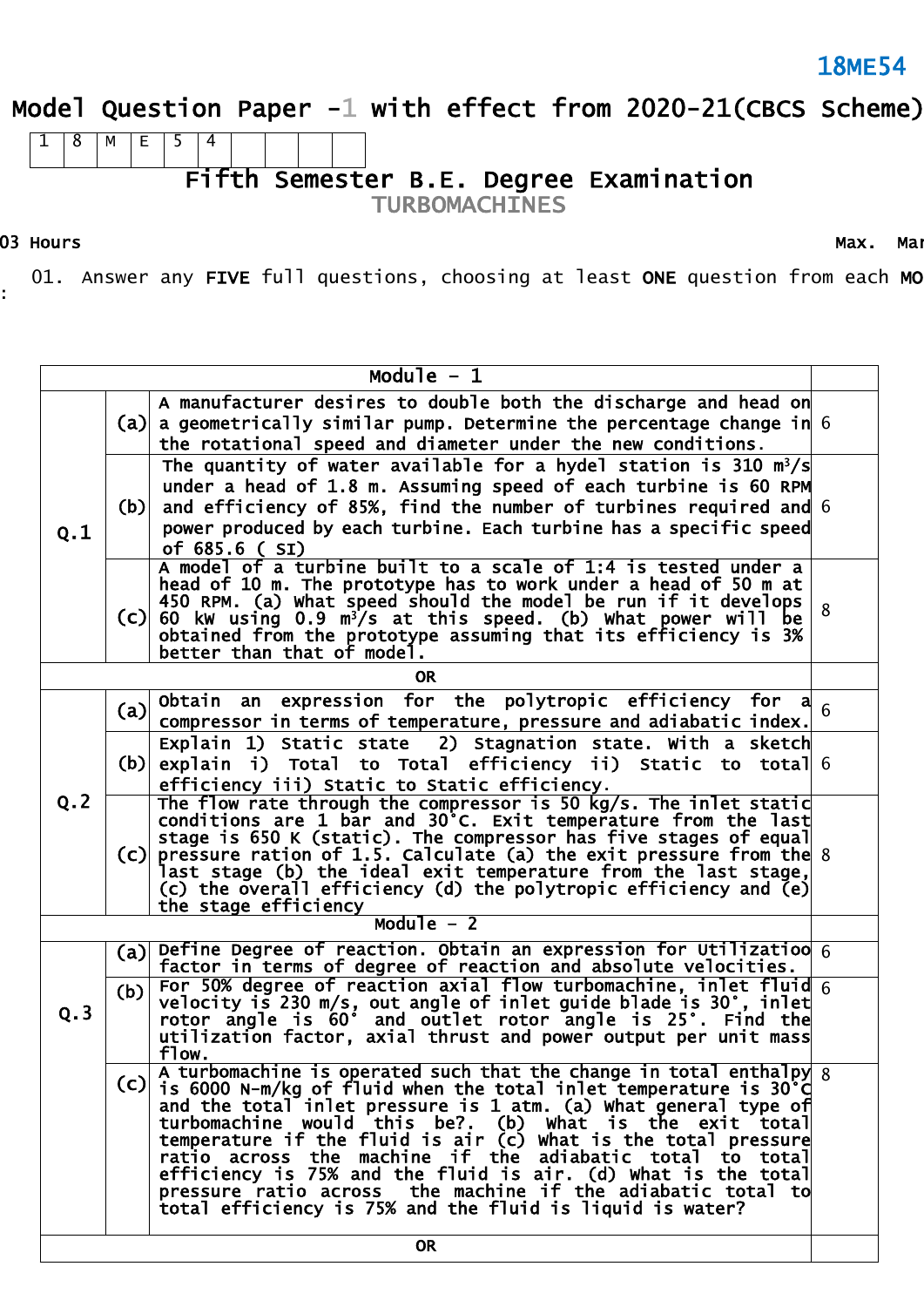# **Model Question Paper -1 with effect from 2020-21(CBCS Scheme)**

 $1 \ 8 \ 1 \ 1 \ 8 \ 1 \ 1 \ 2 \ 5 \ 4$ **Fifth Semester B.E. Degree Examination**

**TURBOMACHINES**

### **O3 Hours Max. Marks: 2006** Max. Marks: 2007 Max. Marks: 2008 Max. Marks: 2008 Max. Marks: 2008 Max. Marks: 2008

 $\mathbb{R}^n$ 01. Answer any FIVE full questions, choosing at least ONE question from each MO

| Module $-1$ |     |                                                                                                                                                                                                                                                                                                                                                                                                                                                                                                                                                                                                           |   |  |  |
|-------------|-----|-----------------------------------------------------------------------------------------------------------------------------------------------------------------------------------------------------------------------------------------------------------------------------------------------------------------------------------------------------------------------------------------------------------------------------------------------------------------------------------------------------------------------------------------------------------------------------------------------------------|---|--|--|
| Q.1         |     | A manufacturer desires to double both the discharge and head on<br>(a) a geometrically similar pump. Determine the percentage change in $6$<br>the rotational speed and diameter under the new conditions.                                                                                                                                                                                                                                                                                                                                                                                                |   |  |  |
|             | (b) | The quantity of water available for a hydel station is 310 $m^3/s$<br>under a head of 1.8 m. Assuming speed of each turbine is 60 RPM<br>and efficiency of 85%, find the number of turbines required and 6<br>power produced by each turbine. Each turbine has a specific speed<br>of 685.6 (SI)                                                                                                                                                                                                                                                                                                          |   |  |  |
|             | (C) | A model of a turbine built to a scale of 1:4 is tested under a<br>head of 10 m. The prototype has to work under a head of 50 m at<br>450 RPM. (a) what speed should the model be run if it develops<br>60 kw using 0.9 $m^3/s$ at this speed. (b) what power will be<br>obtained from the prototype assuming that its efficiency is 3%<br>better than that of model.                                                                                                                                                                                                                                      | 8 |  |  |
|             |     | <b>OR</b>                                                                                                                                                                                                                                                                                                                                                                                                                                                                                                                                                                                                 |   |  |  |
|             | (a) | obtain an expression for the polytropic efficiency for a<br>compressor in terms of temperature, pressure and adiabatic index.                                                                                                                                                                                                                                                                                                                                                                                                                                                                             | 6 |  |  |
|             | (b) | Explain 1) Static state 2) Stagnation state. With a sketch<br>explain i) Total to Total efficiency ii) Static to total 6<br>efficiency iii) Static to Static efficiency.                                                                                                                                                                                                                                                                                                                                                                                                                                  |   |  |  |
| Q.2         | (C) | The flow rate through the compressor is 50 kg/s. The inlet static<br>conditions are 1 bar and 30 $^{\circ}$ C. Exit temperature from the last<br>stage is 650 K (static). The compressor has five stages of equal<br>pressure ration of 1.5. Calculate (a) the exit pressure from the $8$<br>last stage (b) the ideal exit temperature from the last stage,<br>(c) the overall efficiency (d) the polytropic efficiency and (e)<br>the stage efficiency                                                                                                                                                   |   |  |  |
|             |     | Module $-2$                                                                                                                                                                                                                                                                                                                                                                                                                                                                                                                                                                                               |   |  |  |
|             | (a) | Define Degree of reaction. Obtain an expression for Utilizatioo $6$<br>factor in terms of degree of reaction and absolute velocities.                                                                                                                                                                                                                                                                                                                                                                                                                                                                     |   |  |  |
| Q.3         | (b) | For 50% degree of reaction axial flow turbomachine, inlet fluid $6$<br>velocity is 230 m/s, out angle of inlet guide blade is 30°, inlet<br>rotor angle is 60° and outlet rotor angle is 25°. Find the<br>utilization factor, axial thrust and power output per unit mass<br>flow.                                                                                                                                                                                                                                                                                                                        |   |  |  |
|             | (c) | A turbomachine is operated such that the change in total enthalpy $\beta$<br>is 6000 N-m/kg of fluid when the total inlet temperature is 30°C<br>and the total inlet pressure is 1 atm. (a) what general type of<br>turbomachine would this be?. (b) what is the exit total<br>temperature if the fluid is air (c) What is the total pressure<br>ratio across the machine if the adiabatic total<br>to total<br>efficiency is 75% and the fluid is air. (d) what is the total<br>pressure ratio across the machine if the adiabatic total to<br>total efficiency is 75% and the fluid is liquid is water? |   |  |  |
| <b>OR</b>   |     |                                                                                                                                                                                                                                                                                                                                                                                                                                                                                                                                                                                                           |   |  |  |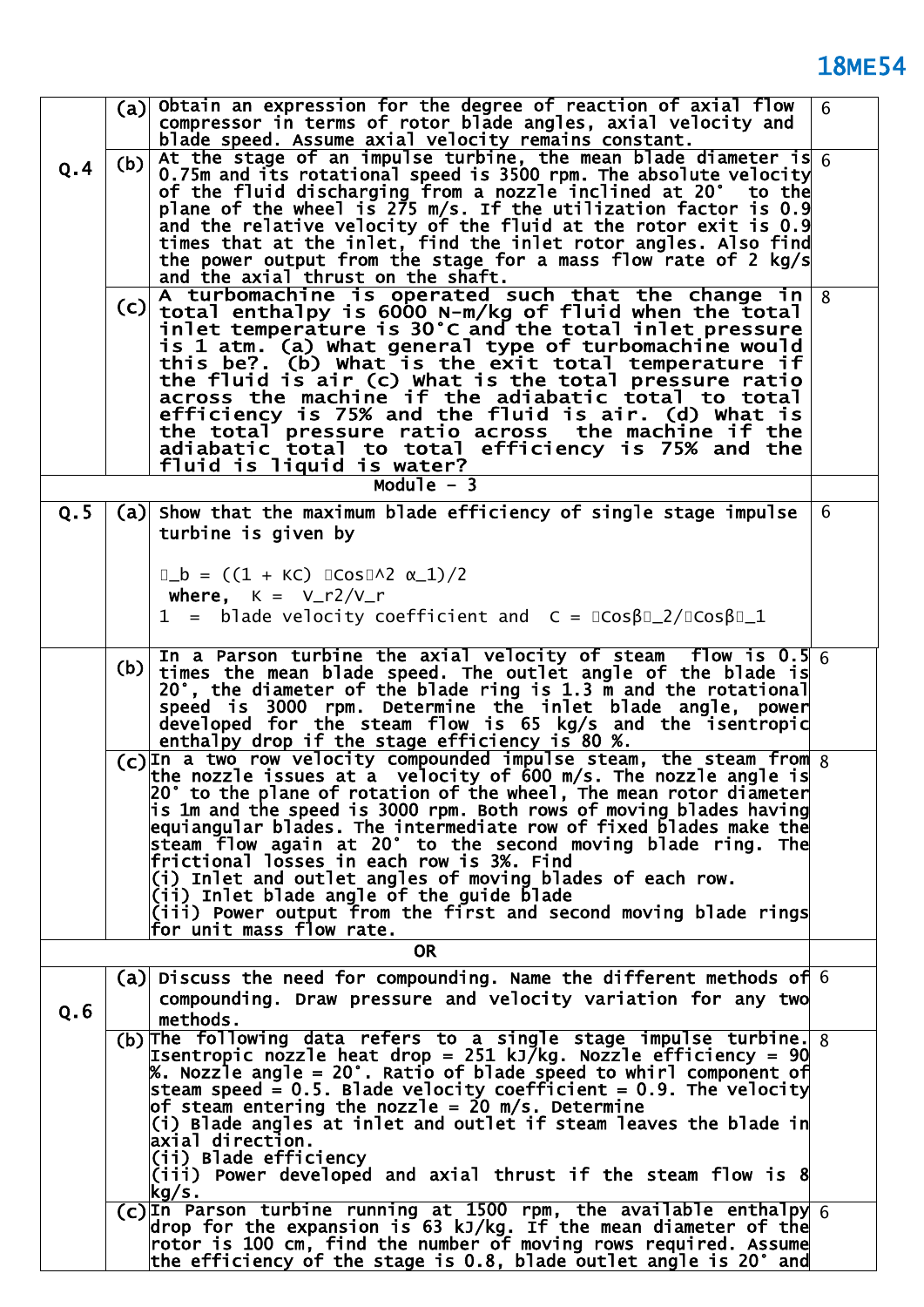|     | (a) | Obtain an expression for the degree of reaction of axial flow<br>compressor in terms of rotor blade angles, axial velocity and<br>blade speed. Assume axial velocity remains constant.                                                                                                                                                                                                                                                                                                                                                                                                                                                                                               | 6 |
|-----|-----|--------------------------------------------------------------------------------------------------------------------------------------------------------------------------------------------------------------------------------------------------------------------------------------------------------------------------------------------------------------------------------------------------------------------------------------------------------------------------------------------------------------------------------------------------------------------------------------------------------------------------------------------------------------------------------------|---|
| Q.4 | (b) | At the stage of an impulse turbine, the mean blade diameter is $6$<br>0.75m and its rotational speed is 3500 rpm. The absolute velocity<br>of the fluid discharging from a nozzle inclined at 20°<br>to the<br>plane of the wheel is $275$ m/s. If the utilization factor is 0.9<br>and the relative velocity of the fluid at the rotor exit is 0.9 times that at the inlet, find the inlet rotor angles. Also find<br>the power output from the stage for a mass flow rate of 2 kg/s<br>and the axial thrust on the shaft.                                                                                                                                                          |   |
|     | (c) | A turbomachine is operated such that the change in<br>total enthalpy is 6000 N-m/kg of fluid when the total<br>inlet temperature is 30°C and the total inlet pressure<br>is 1 atm. (a) what general type of turbomachine would<br>this be?. (b) What is the exit total temperature if<br>the fluid is air (c) what is the total pressure ratio<br>across the machine if the adiabatic total to total<br>efficiency is 75% and the fluid is air. (d) What is<br>the total pressure ratio across the machine if the<br>adiabatic total to total efficiency is 75% and the<br>fluid is liquid is water?<br>Module $-3$                                                                  | 8 |
| Q.5 |     | (a) Show that the maximum blade efficiency of single stage impulse<br>turbine is given by<br>$\Box$ b = ((1 + KC) $\Box$ Cos $\Box$ A2 $\alpha$ 1)/2<br>where, $K = V_r^2/V_r$<br>1 = blade velocity coefficient and $C = \angle\cos\beta\sqrt{2}/\angle\cos\beta\sqrt{1}$                                                                                                                                                                                                                                                                                                                                                                                                           | 6 |
|     | (b) | In a Parson turbine the axial velocity of steam flow is $0.5 \frac{6}{6}$<br>times the mean blade speed. The outlet angle of the blade is<br>20°, the diameter of the blade ring is 1.3 m and the rotational<br>speed is 3000 rpm. Determine the inlet blade angle, power<br>developed for the steam flow is 65 kg/s and the isentropic<br>enthalpy drop if the stage efficiency is 80 %.                                                                                                                                                                                                                                                                                            |   |
|     |     | $(c)$ In a two row velocity compounded impulse steam, the steam from $8$<br>the nozzle issues at a velocity of 600 m/s. The nozzle angle is<br>$20°$ to the plane of rotation of the wheel, The mean rotor diameter<br>is 1m and the speed is 3000 rpm. Both rows of moving blades having<br>equiangular blades. The intermediate row of fixed blades make the<br>steam flow again at 20° to the second moving blade ring. The<br>frictional losses in each row is 3%. Find<br>(i) Inlet and outlet angles of moving blades of each row.<br>(ii) Inlet blade angle of the guide blade<br>(iii) Power output from the first and second moving blade rings<br>for unit mass flow rate. |   |
|     |     | <b>OR</b>                                                                                                                                                                                                                                                                                                                                                                                                                                                                                                                                                                                                                                                                            |   |
| Q.6 |     | (a) Discuss the need for compounding. Name the different methods of 6<br>compounding. Draw pressure and velocity variation for any two<br>methods.                                                                                                                                                                                                                                                                                                                                                                                                                                                                                                                                   |   |
|     |     | (b) The following data refers to a single stage impulse turbine. $8$<br> Isentropic nozzle heat drop = 251 kJ/kg. Nozzle efficiency = 90<br>%. Nozzle angle = 20°. Ratio of blade speed to whirl component of<br>steam speed = 0.5. Blade velocity coefficient = 0.9. The velocity<br>of steam entering the nozzle = 20 m/s. Determine<br>$\left($ i) Blade angles at inlet and outlet if steam leaves the blade in<br>axial direction.<br>(ii) Blade efficiency<br>$(iii)$ Power developed and axial thrust if the steam flow is 8 $\hspace{0.1em}$<br>kg/s.                                                                                                                        |   |
|     |     | $(c)$ In Parson turbine running at 1500 rpm, the available enthalpy 6<br>drop for the expansion is 63 kJ/kg. If the mean diameter of the $\,$<br>$ $ rotor is 100 cm, find the number of moving rows required. Assume $ $<br>the efficiency of the stage is 0.8, blade outlet angle is 20° and                                                                                                                                                                                                                                                                                                                                                                                       |   |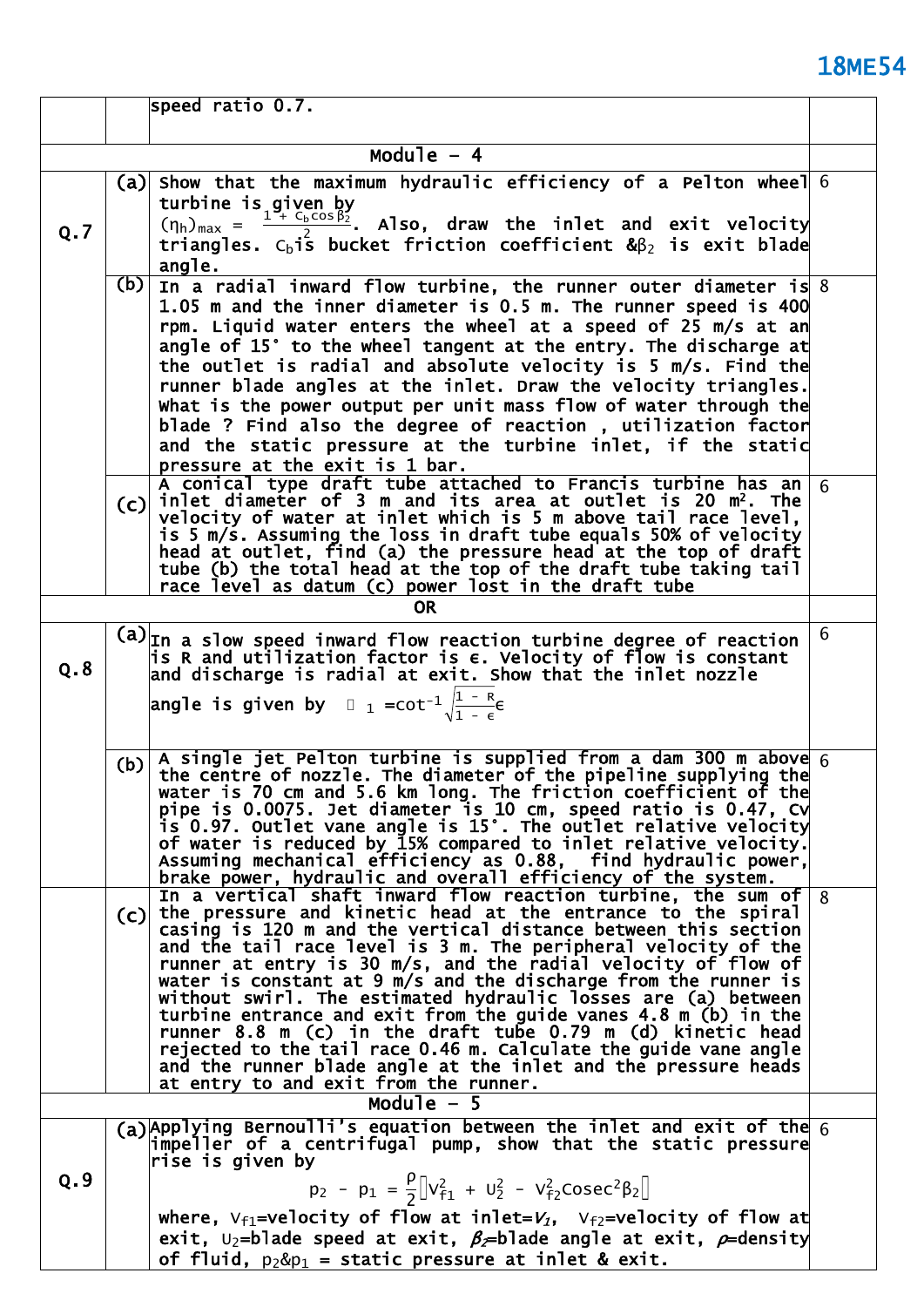|             |     | speed ratio 0.7.                                                                                                                                                                                                                                                                                                                                                                                                                                                                                                                                                                                                                                                                                                                                                                           |   |  |  |
|-------------|-----|--------------------------------------------------------------------------------------------------------------------------------------------------------------------------------------------------------------------------------------------------------------------------------------------------------------------------------------------------------------------------------------------------------------------------------------------------------------------------------------------------------------------------------------------------------------------------------------------------------------------------------------------------------------------------------------------------------------------------------------------------------------------------------------------|---|--|--|
| Module $-4$ |     |                                                                                                                                                                                                                                                                                                                                                                                                                                                                                                                                                                                                                                                                                                                                                                                            |   |  |  |
| Q.7         |     | (a) Show that the maximum hydraulic efficiency of a Pelton wheel $6$<br>turbine is given by<br>$(\eta_h)_{\text{max}} = \frac{17666662}{2}$ . Also, draw the inlet and exit velocity<br>triangles. $C_b$ is bucket friction coefficient & $\beta_2$ is exit blade<br>angle.                                                                                                                                                                                                                                                                                                                                                                                                                                                                                                                |   |  |  |
|             | (b) | In a radial inward flow turbine, the runner outer diameter is $8$<br>1.05 m and the inner diameter is 0.5 m. The runner speed is 400<br>rpm. Liquid water enters the wheel at a speed of 25 m/s at an<br>angle of 15° to the wheel tangent at the entry. The discharge at<br>the outlet is radial and absolute velocity is 5 m/s. Find the<br>runner blade angles at the inlet. Draw the velocity triangles.<br>what is the power output per unit mass flow of water through the<br>blade ? Find also the degree of reaction, utilization factor<br>and the static pressure at the turbine inlet, if the static<br>pressure at the exit is 1 bar.                                                                                                                                          |   |  |  |
|             |     | A conical type draft tube attached to Francis turbine has an $6$<br>$(c)$ inlet diameter of 3 m and its area at outlet is 20 m <sup>2</sup> . The<br>velocity of water at inlet which is 5 m above tail race level,<br>is 5 m/s. Assuming the loss in draft tube equals 50% of velocity<br>head at outlet, find (a) the pressure head at the top of draft<br>tube (b) the total head at the<br>race level as datum (c) power lost in the draft tube                                                                                                                                                                                                                                                                                                                                        |   |  |  |
|             |     | <b>OR</b>                                                                                                                                                                                                                                                                                                                                                                                                                                                                                                                                                                                                                                                                                                                                                                                  |   |  |  |
| Q.8         |     | $(a) $ In a slow speed inward flow reaction turbine degree of reaction<br>is R and utilization factor is $\epsilon$ . Velocity of flow is constant<br>and discharge is radial at exit. Show that the inlet nozzle<br>angle is given by $\Box$ $\Box$ =cot <sup>-1</sup> $\sqrt{\frac{1 - R}{1 - \epsilon}}$                                                                                                                                                                                                                                                                                                                                                                                                                                                                                | 6 |  |  |
|             | (b) | A single jet Pelton turbine is supplied from a dam 300 m above $6$ the centre of nozzle. The diameter of the pipeline supplying the<br>water is 70 cm and 5.6 km long. The friction coefficient of the<br>pipe is 0.0075. Jet diameter is 10 cm, speed ratio is 0.47, Cv<br>is 0.97. Outlet vane angle is 15°. The outlet relative velocity<br>of water is reduced by 15% compared to inlet relative velocity.<br>Assuming mechanical efficiency as 0.88, find hydraulic power,<br>brake power, hydraulic and overall efficiency of the system.                                                                                                                                                                                                                                            |   |  |  |
|             | (c) | In a vertical shaft inward flow reaction turbine, the sum of $ 8 $<br>the pressure and kinetic head at the entrance to the spiral<br>casing is 120 m and the vertical distance between this section<br>and the tail race level is 3 m. The peripheral velocity of the<br>runner at entry is 30 m/s, and the radial velocity of flow of<br>water is constant at 9 m/s and the discharge from the runner is<br>without swirl. The estimated hydraulic losses are (a) between<br>turbine entrance and exit from the guide vanes 4.8 m (b) in the<br>runner 8.8 m (c) in the draft tube 0.79 m (d) kinetic head<br>rejected to the tail race 0.46 m. Calculate the guide vane angle<br>and the runner blade angle at the inlet and the pressure heads<br>at entry to and exit from the runner. |   |  |  |
|             |     | Module $-5$                                                                                                                                                                                                                                                                                                                                                                                                                                                                                                                                                                                                                                                                                                                                                                                |   |  |  |
| Q.9         |     | (a) Applying Bernoulli's equation between the inlet and exit of the $6$<br>impeller of a centrifugal pump, show that the static pressure<br>∣rise is given by                                                                                                                                                                                                                                                                                                                                                                                                                                                                                                                                                                                                                              |   |  |  |
|             |     | $p_2 - p_1 = \frac{\rho}{2} \left[ V_{f1}^2 + U_2^2 - V_{f2}^2 \text{Cosec}^2 \beta_2 \right]$                                                                                                                                                                                                                                                                                                                                                                                                                                                                                                                                                                                                                                                                                             |   |  |  |
|             |     | where, $V_{f1}$ =velocity of flow at inlet= $V_1$ , $V_{f2}$ =velocity of flow at<br>exit, $\cup_2$ =blade speed at exit, $\beta$ blade angle at exit, $\rho$ =density<br>of fluid, $p_2\&p_1$ = static pressure at inlet & exit.                                                                                                                                                                                                                                                                                                                                                                                                                                                                                                                                                          |   |  |  |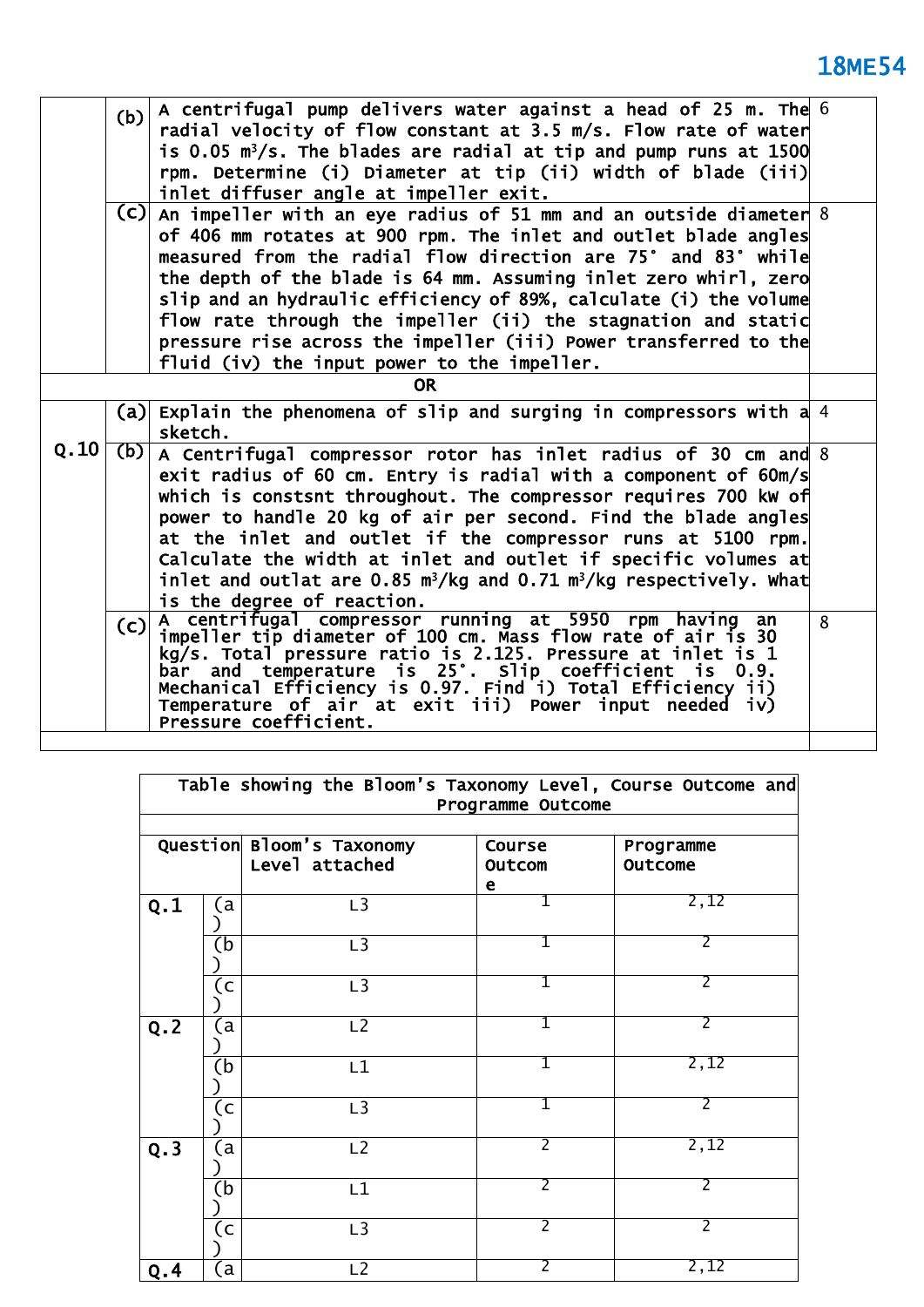|      | (b) | A centrifugal pump delivers water against a head of 25 m. The 6<br>radial velocity of flow constant at 3.5 m/s. Flow rate of water<br>is 0.05 $m^3/s$ . The blades are radial at tip and pump runs at 1500<br>rpm. Determine (i) Diameter at tip (ii) width of blade (iii)<br>inlet diffuser angle at impeller exit.                                                                                                                                                                                                                 |              |
|------|-----|--------------------------------------------------------------------------------------------------------------------------------------------------------------------------------------------------------------------------------------------------------------------------------------------------------------------------------------------------------------------------------------------------------------------------------------------------------------------------------------------------------------------------------------|--------------|
|      | (c) | An impeller with an eye radius of 51 mm and an outside diameter $8$<br>of 406 mm rotates at 900 rpm. The inlet and outlet blade angles<br>measured from the radial flow direction are 75° and 83° while<br>the depth of the blade is 64 mm. Assuming inlet zero whirl, zero<br>slip and an hydraulic efficiency of 89%, calculate (i) the volume<br>flow rate through the impeller (ii) the stagnation and static<br>pressure rise across the impeller (iii) Power transferred to the<br>fluid (iv) the input power to the impeller. |              |
|      |     | <b>OR</b>                                                                                                                                                                                                                                                                                                                                                                                                                                                                                                                            |              |
|      | (a) | Explain the phenomena of slip and surging in compressors with $a$ 4<br>sketch.                                                                                                                                                                                                                                                                                                                                                                                                                                                       |              |
| Q.10 | (b) | A Centrifugal compressor rotor has inlet radius of 30 cm and 8<br>exit radius of 60 cm. Entry is radial with a component of $60m/s$<br>which is constsnt throughout. The compressor requires 700 kw of<br>power to handle 20 kg of air per second. Find the blade angles<br>at the inlet and outlet if the compressor runs at 5100 rpm.<br>Calculate the width at inlet and outlet if specific volumes at<br>inlet and outlat are 0.85 $m^3/kg$ and 0.71 $m^3/kg$ respectively. What<br>is the degree of reaction.                   |              |
|      | (c) | A centrifugal compressor running at 5950 rpm having<br>an<br>impeller tip diameter of 100 cm. Mass flow rate of air is 30<br>kg/s. Total pressure ratio is 2.125. Pressure at inlet is 1<br>bar and temperature is 25°. Slip coefficient is 0.9.<br>Mechanical Efficiency is 0.97. Find i) Total Efficiency ii)<br>Temperature of air at exit iii) Power input needed iv)<br>Pressure coefficient.                                                                                                                                   | $\mathsf{R}$ |
|      |     |                                                                                                                                                                                                                                                                                                                                                                                                                                                                                                                                      |              |

| Table showing the Bloom's Taxonomy Level, Course Outcome and<br>Programme Outcome |    |                                             |                       |                      |  |  |
|-----------------------------------------------------------------------------------|----|---------------------------------------------|-----------------------|----------------------|--|--|
|                                                                                   |    | Question Bloom's Taxonomy<br>Level attached | Course<br>Outcom<br>e | Programme<br>Outcome |  |  |
| Q.1                                                                               | (a | L3                                          | $\overline{1}$        | 2,12                 |  |  |
|                                                                                   | (b | L <sub>3</sub>                              | $\mathbf 1$           | 2                    |  |  |
|                                                                                   | (c | L <sub>3</sub>                              | $\overline{1}$        | $\overline{2}$       |  |  |
| Q.2                                                                               | (a | L <sub>2</sub>                              | $\overline{1}$        | $\overline{2}$       |  |  |
|                                                                                   | (b | L1                                          | $\overline{1}$        | 2,12                 |  |  |
|                                                                                   | (c | L <sub>3</sub>                              | $\overline{1}$        | $\overline{2}$       |  |  |
| Q.3                                                                               | (a | L <sub>2</sub>                              | $\overline{2}$        | 2,12                 |  |  |
|                                                                                   | (b | L1                                          | $\overline{2}$        | $\overline{2}$       |  |  |
|                                                                                   | (c | L3                                          | $\overline{2}$        | $\overline{2}$       |  |  |
| Q.4                                                                               | (a | L2                                          | $\overline{2}$        | 2,12                 |  |  |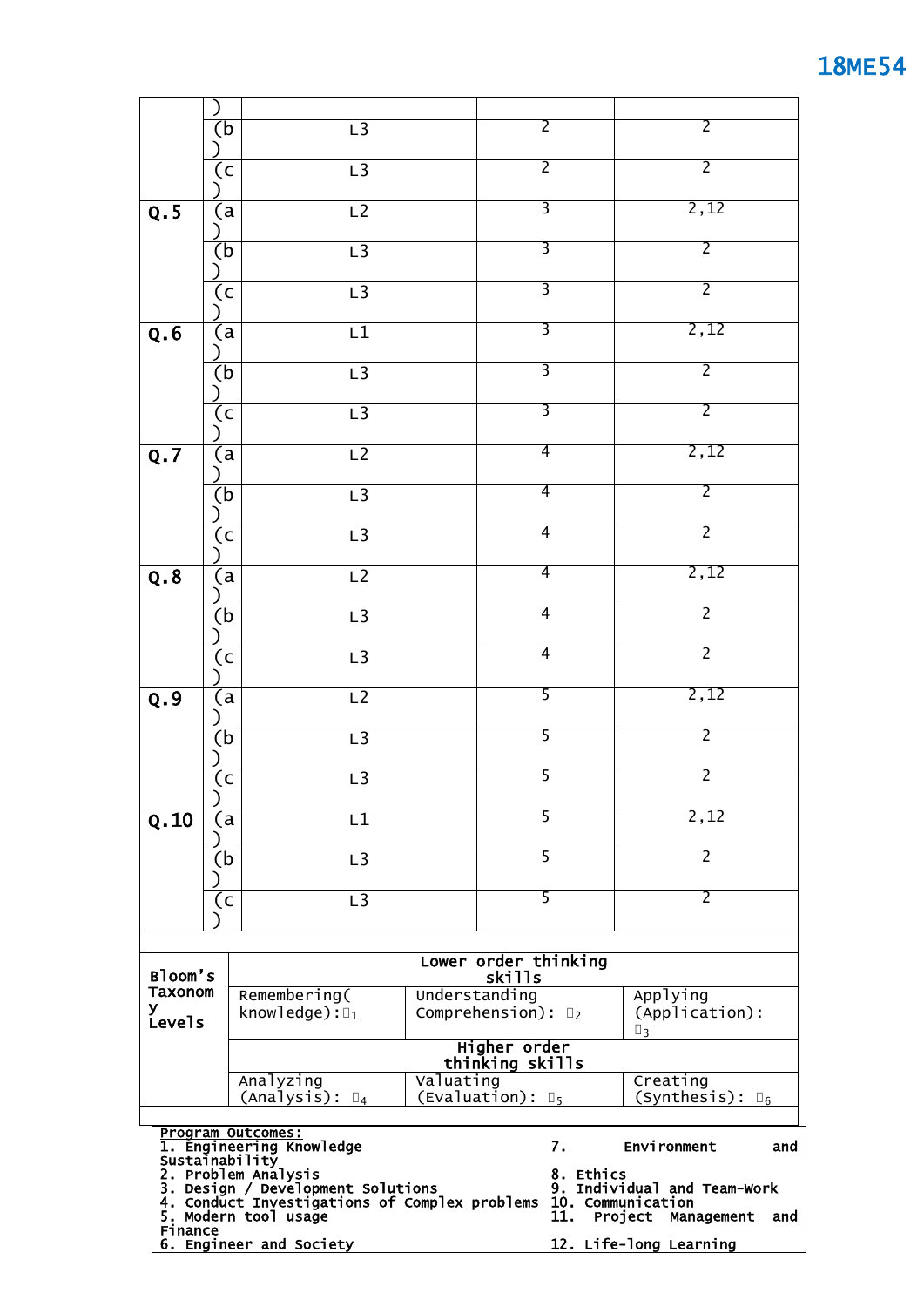|                                                                                                                                                                                                                                                                            | $\mathcal{C}$  |                         |                           |                             |                                   |                              |
|----------------------------------------------------------------------------------------------------------------------------------------------------------------------------------------------------------------------------------------------------------------------------|----------------|-------------------------|---------------------------|-----------------------------|-----------------------------------|------------------------------|
|                                                                                                                                                                                                                                                                            | (b             | L <sub>3</sub>          |                           | $\overline{2}$              |                                   | $\overline{2}$               |
|                                                                                                                                                                                                                                                                            | (c)            | L3                      |                           | $\overline{2}$              |                                   | $\overline{2}$               |
| Q.5                                                                                                                                                                                                                                                                        | (a             | $\overline{L2}$         |                           | $\overline{\overline{3}}$   |                                   | 2,12                         |
|                                                                                                                                                                                                                                                                            | (b             | L3                      |                           |                             | $\overline{\mathbf{3}}$           | $\overline{2}$               |
|                                                                                                                                                                                                                                                                            | (c             | L3                      |                           | $\overline{3}$              |                                   | $\overline{2}$               |
| Q.6                                                                                                                                                                                                                                                                        | (a             | $\overline{L1}$         |                           | $\overline{3}$              |                                   | $\overline{2,12}$            |
|                                                                                                                                                                                                                                                                            | (b)            | $\overline{L}$          |                           | $\overline{3}$              |                                   | $\overline{2}$               |
|                                                                                                                                                                                                                                                                            | (c)            | $\overline{L}$          |                           | $\overline{3}$              |                                   | $\overline{2}$               |
| Q.7                                                                                                                                                                                                                                                                        | (a             | L <sub>2</sub>          |                           | $\overline{4}$              |                                   | 2,12                         |
|                                                                                                                                                                                                                                                                            | (b             | L3                      |                           | $\overline{4}$              |                                   | $\overline{2}$               |
|                                                                                                                                                                                                                                                                            | (c             | $\overline{L}$          |                           | $\overline{4}$              |                                   | $\overline{2}$               |
| Q.8                                                                                                                                                                                                                                                                        | (a             | L <sub>2</sub>          |                           | $\overline{4}$              |                                   | 2,12                         |
|                                                                                                                                                                                                                                                                            | (b             | $\overline{L}$          |                           | $\overline{4}$              |                                   | $\overline{2}$               |
|                                                                                                                                                                                                                                                                            | $\overline{c}$ | $\overline{L}$          |                           | $\overline{4}$              |                                   | $\overline{2}$               |
| Q.9                                                                                                                                                                                                                                                                        | (a             | L <sub>2</sub>          |                           | $\overline{5}$              |                                   | 2,12                         |
|                                                                                                                                                                                                                                                                            | (b             | L3                      |                           | 5                           |                                   | $\overline{2}$               |
|                                                                                                                                                                                                                                                                            | (c)            | $\overline{L}$ 3        |                           | $\overline{5}$              |                                   | $\overline{2}$               |
| Q.10                                                                                                                                                                                                                                                                       | (a             | L1                      |                           | $\overline{5}$              |                                   | 2,12                         |
|                                                                                                                                                                                                                                                                            | (b             | L <sub>3</sub>          |                           | 5                           |                                   | 2                            |
|                                                                                                                                                                                                                                                                            | (c             | L <sub>3</sub>          |                           | $\overline{5}$              |                                   | 2                            |
|                                                                                                                                                                                                                                                                            |                |                         |                           | Lower order thinking        |                                   |                              |
| Bloom's<br><b>Taxonom</b>                                                                                                                                                                                                                                                  |                | Remembering(            |                           | skills<br>Understanding     |                                   | Applying                     |
| У<br>Levels                                                                                                                                                                                                                                                                |                | knowledge): $\square_1$ |                           | Comprehension): $\square_2$ |                                   | (Application):<br>Шз         |
| Higher order<br>thinking skills                                                                                                                                                                                                                                            |                |                         |                           |                             |                                   |                              |
| Analyzing<br>Valuating<br>(Analysis): $\square_4$                                                                                                                                                                                                                          |                |                         | (Evaluation): $\square_5$ |                             | Creating<br>$(Synthesis): \Box_6$ |                              |
|                                                                                                                                                                                                                                                                            |                |                         |                           |                             |                                   |                              |
| <b>Program Outcomes:</b><br>1. Engineering Knowledge 7. Environme<br>Sustainability<br>2. Problem Analysis 8. Ethics<br>3. Design / Development Solutions 9. Individual and<br>4. Conduct Investigations of Complex problems 10. Communicatio<br><b>Environment</b><br>and |                |                         |                           |                             |                                   |                              |
|                                                                                                                                                                                                                                                                            |                |                         |                           |                             |                                   |                              |
| 9. Individual and Team-Work                                                                                                                                                                                                                                                |                |                         |                           |                             |                                   |                              |
| Finance                                                                                                                                                                                                                                                                    |                | 5. Modern tool usage    |                           |                             | 11.                               | Project<br>Management<br>and |

**6. Engineer and Society 12. Life-long Learning**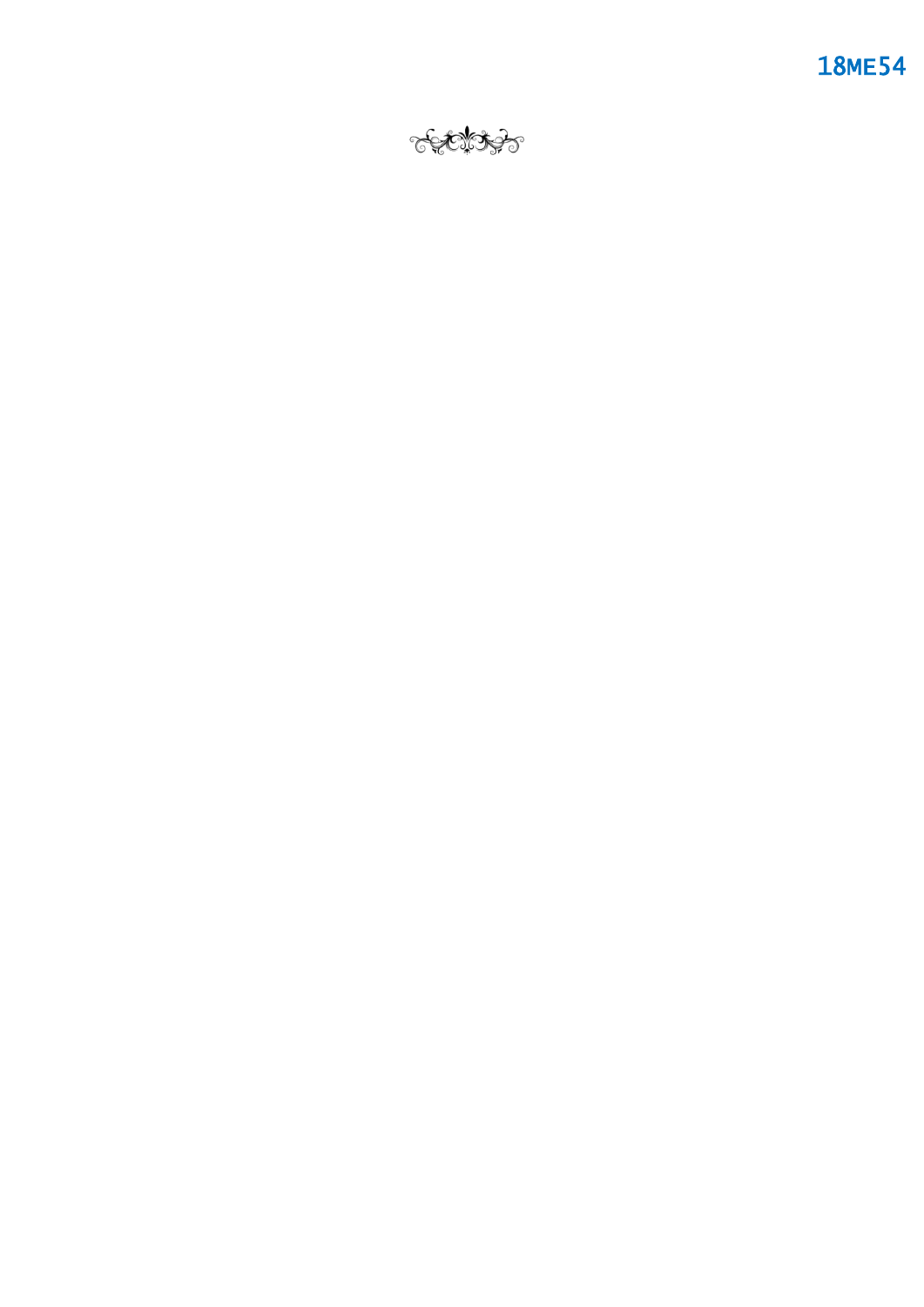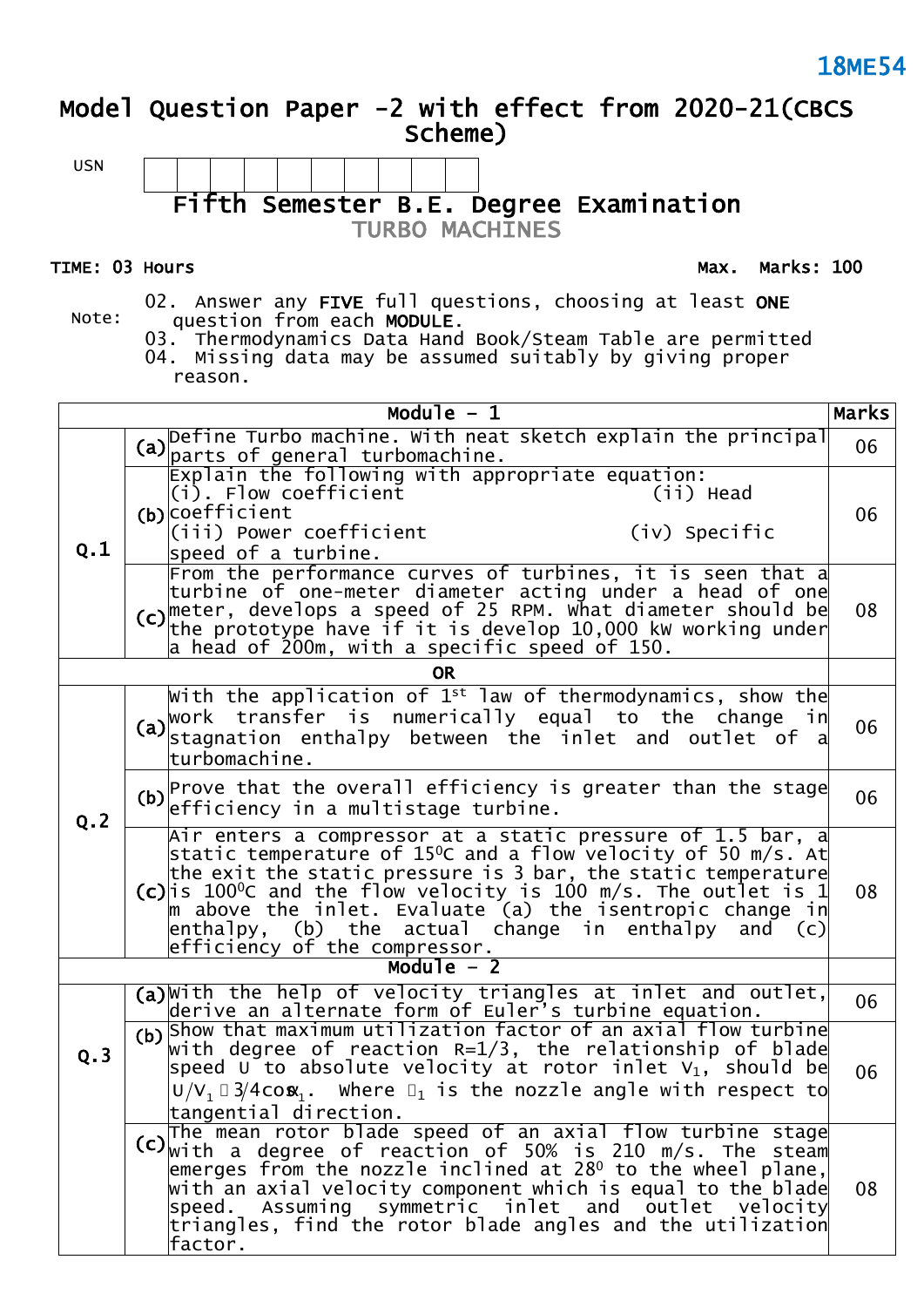### **Model Question Paper -2 with effect from 2020-21(CBCS Scheme)**

USN

**Fifth Semester B.E. Degree Examination TURBO MACHINES** 

#### **TIME: 03 Hours**

**Max. Marks: 100**

- Note: 02. Answer any **FIVE** full questions, choosing at least **ONE** question from each **MODULE**.
	- 03. Thermodynamics Data Hand Book/Steam Table are permitted 04. Missing data may be assumed suitably by giving proper reason.

| Module $-1$<br>Marks |                                                                                                                                                                                                                                                                                                                                                                                                                                            |    |  |  |  |
|----------------------|--------------------------------------------------------------------------------------------------------------------------------------------------------------------------------------------------------------------------------------------------------------------------------------------------------------------------------------------------------------------------------------------------------------------------------------------|----|--|--|--|
|                      | (a) Define Turbo machine. With neat sketch explain the principal<br>parts of general turbomachine.                                                                                                                                                                                                                                                                                                                                         | 06 |  |  |  |
| Q.1                  | Explain the following with appropriate equation:<br>(i). Flow coefficient<br>$(i)$ Head<br>$(b)$ coefficient<br>(iii) Power coefficient<br>(iv) Specific<br>speed of a turbine.                                                                                                                                                                                                                                                            | 06 |  |  |  |
|                      | From the performance curves of turbines, it is seen that a<br>turbine of one-meter diameter acting under a head of one<br>(c) meter, develops a speed of 25 RPM. What diameter should be<br>the prototype have if it is develop 10,000 kw working under<br>$\alpha$ head of 200m, with a specific speed of 150.                                                                                                                            | 08 |  |  |  |
|                      | ΟR                                                                                                                                                                                                                                                                                                                                                                                                                                         |    |  |  |  |
|                      | With the application of $1^{st}$ law of thermodynamics, show the<br>$(a)$ work transfer is numerically equal to the change in<br>stagnation enthalpy between the inlet and outlet of<br>a<br>turbomachine.                                                                                                                                                                                                                                 | 06 |  |  |  |
| Q.2                  | (b) Prove that the overall efficiency is greater than the stage<br>efficiency in a multistage turbine.                                                                                                                                                                                                                                                                                                                                     | 06 |  |  |  |
|                      | Air enters a compressor at a static pressure of 1.5 bar, a<br>static temperature of 15ºC and a flow velocity of 50 m/s. At<br>the exit the static pressure is 3 bar, the static temperature<br>(c) is 100 <sup>o</sup> C and the flow velocity is 100 m/s. The outlet is 1<br>$\parallel$ m above the inlet. Evaluate (a) the isentropic change in<br>enthalpy, (b) the actual change in enthalpy and (c)<br>efficiency of the compressor. | 08 |  |  |  |
|                      | Module $-2$                                                                                                                                                                                                                                                                                                                                                                                                                                |    |  |  |  |
|                      | (a) with the help of velocity triangles at inlet and outlet,<br>derive an alternate form of Euler's turbine equation.                                                                                                                                                                                                                                                                                                                      | 06 |  |  |  |
| Q.3                  | (b) Show that maximum utilization factor of an axial flow turbine<br>with degree of reaction R=1/3, the relationship of blade<br>speed U to absolute velocity at rotor inlet $V_1$ , should be<br>$U/V_1 \Box 3/4 \cos_1$ . Where $\Box_1$ is the nozzle angle with respect to<br>tangential direction.                                                                                                                                    | 06 |  |  |  |
|                      | The mean rotor blade speed of an axial flow turbine stage<br>$(C)$ with a degree of reaction of 50% is 210 m/s. The steam<br>emerges from the nozzle inclined at 28 $^{\rm o}$ to the wheel plane,<br>with an axial velocity component which is equal to the blade<br>$ speed.$ Assuming symmetric inlet and outlet velocity<br>$ triangles, find the rotor blade angles and the utilization $<br> factor.                                 | 08 |  |  |  |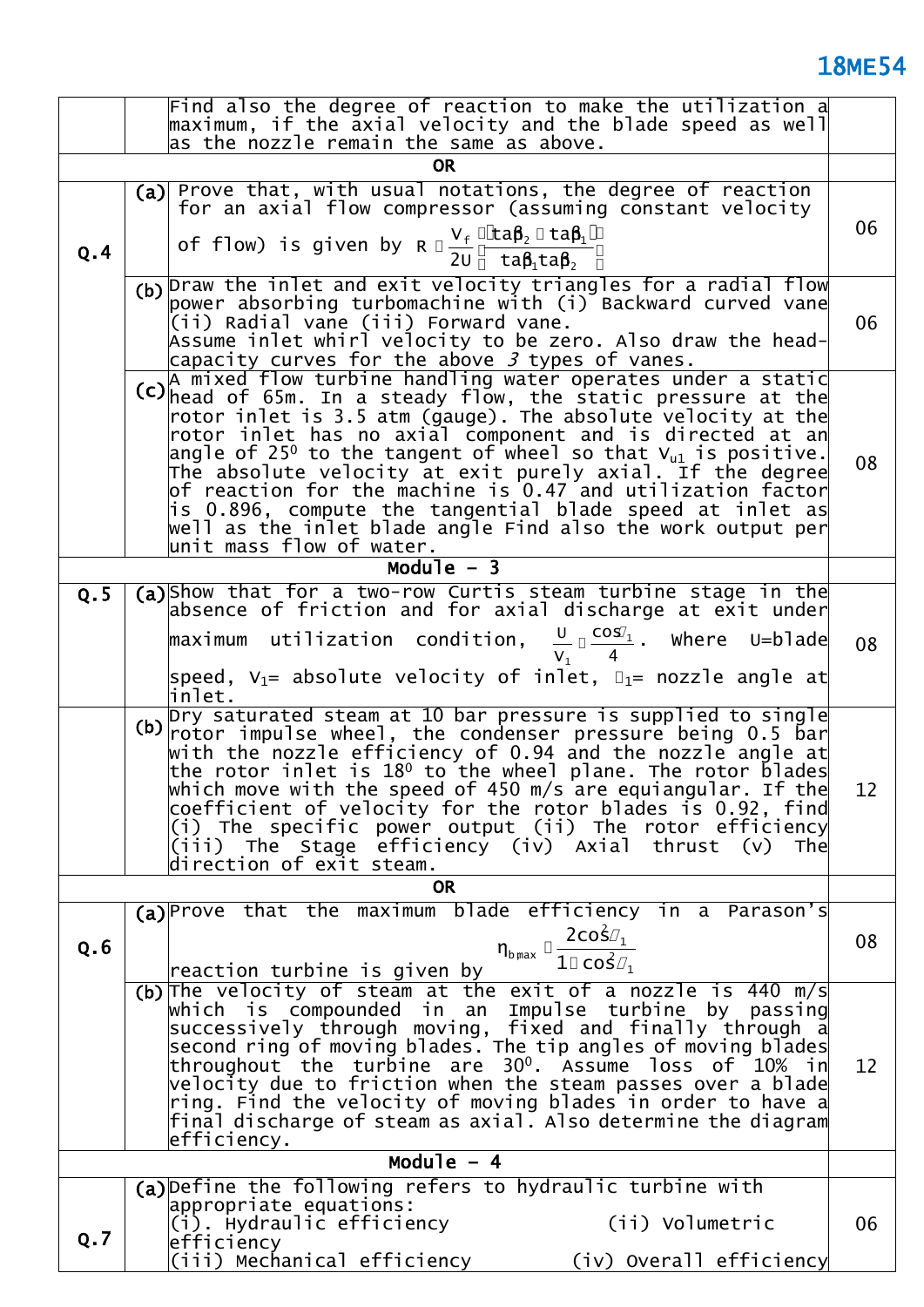|     | Find also the degree of reaction to make the utilization a<br>$\left  \right $ maximum, if the axial velocity and the blade speed as well                                                                                                                                                                                                                                                                                                                                                                                                                                                                                                                                                                                               |    |
|-----|-----------------------------------------------------------------------------------------------------------------------------------------------------------------------------------------------------------------------------------------------------------------------------------------------------------------------------------------------------------------------------------------------------------------------------------------------------------------------------------------------------------------------------------------------------------------------------------------------------------------------------------------------------------------------------------------------------------------------------------------|----|
|     | as the nozzle remain the same as above. $\,$                                                                                                                                                                                                                                                                                                                                                                                                                                                                                                                                                                                                                                                                                            |    |
|     | 0R                                                                                                                                                                                                                                                                                                                                                                                                                                                                                                                                                                                                                                                                                                                                      |    |
|     | (a) Prove that, with usual notations, the degree of reaction<br>for an axial flow compressor (assuming constant velocity                                                                                                                                                                                                                                                                                                                                                                                                                                                                                                                                                                                                                | 06 |
| Q.4 | of flow) is given by $R \square \frac{V_f}{2U} \square \frac{\square \text{tr}a\beta_2 \square \text{tr}a\beta_1 \square}{\square \text{tr}a\beta_1 \text{tr}a\beta_2 \square}$<br>(b) Draw the inlet and exit velocity triangles for a radial flow                                                                                                                                                                                                                                                                                                                                                                                                                                                                                     |    |
|     | power absorbing turbomachine with (i) Backward curved vane<br>(ii) Radial vane (iii) Forward vane.<br>Assume inlet whirl velocity to be zero. Also draw the head-<br>capacity curves for the above 3 types of vanes.                                                                                                                                                                                                                                                                                                                                                                                                                                                                                                                    | 06 |
|     | A mixed flow turbine handling water operates under a static<br>(c) head of 65m. In a steady flow, the static pressure at the<br>$ {\mathsf{rotor}}$ inlet is 3.5 atm (gauge). The absolute velocity at the $ $<br>$ {\sf rotor}$ inlet has no axial component and is directed at an $ $<br>angle of 250 to the tangent of wheel so that $V_{u1}$ is positive.<br>The absolute velocity at exit purely axial. If the degree $\,$<br>of reaction for the machine is 0.47 and utilization factor<br>$\left  \mathrm{is} \right.$ 0.896, compute the tangential blade speed at inlet as<br><code>well</code> as the <code>inlet</code> blade angle <code>Find</code> also the work output per <code>stee</code><br>unit mass flow of water. | 08 |
|     | Module $-3$                                                                                                                                                                                                                                                                                                                                                                                                                                                                                                                                                                                                                                                                                                                             |    |
| Q.5 | (a) Show that for a two-row Curtis steam turbine stage in the<br>$\lambda$ absence of friction and for axial discharge at exit under                                                                                                                                                                                                                                                                                                                                                                                                                                                                                                                                                                                                    |    |
|     | maximum utilization condition, $\frac{0}{V_1}\square \frac{\cos\pi_1}{4}$ . where U=blade                                                                                                                                                                                                                                                                                                                                                                                                                                                                                                                                                                                                                                               | 08 |
|     | speed, V $_{1}$ = absolute velocity of inlet, $\text{\textsf{D}}_{1}$ = nozzle angle at<br>inlet.                                                                                                                                                                                                                                                                                                                                                                                                                                                                                                                                                                                                                                       |    |
|     | Dry saturated steam at 10 bar pressure is supplied to single<br>$(b)$ rotor impulse wheel, the condenser pressure being 0.5 bar<br>with the nozzle efficiency of 0.94 and the nozzle angle at $\,$<br>the rotor inlet is $18^{\rm o}$ to the wheel plane. The rotor <code>blades</code><br>which move with the speed of 450 m/s are equiangular. If the<br>$\,$ coefficient of velocity for the rotor blades is 0.92, find<br>$\left( \texttt{i}\right)$ The specific power output (ii) The rotor efficiency<br>(iii) The Stage efficiency (iv) Axial thrust (v) The<br>direction of exit steam.                                                                                                                                        | 12 |
|     | <b>OR</b>                                                                                                                                                                                                                                                                                                                                                                                                                                                                                                                                                                                                                                                                                                                               |    |
|     | $(a)$ Prove that the maximum blade efficiency in a Parason's                                                                                                                                                                                                                                                                                                                                                                                                                                                                                                                                                                                                                                                                            |    |
| Q.6 | $\eta_{\text{b,max}}\,\, \Box \, \frac{2\text{co}\text{S} \text{O}_1}{1\, \Box \, \text{co}\text{S} \text{O}_1}$<br>reaction turbine is given by                                                                                                                                                                                                                                                                                                                                                                                                                                                                                                                                                                                        | 08 |
|     | (b) The velocity of steam at the exit of a nozzle is 440 m/s<br>which is compounded in an Impulse turbine by passing<br>successively through moving, fixed and finally through a                                                                                                                                                                                                                                                                                                                                                                                                                                                                                                                                                        |    |
|     | second ring of moving blades. The tip angles of moving blades<br>throughout the turbine are 30 $^{\circ}$ . Assume loss of 10% in<br>$\,$ veloc $\,$ ity due to friction when the steam passes over a blade $\,$<br>ring. Find the velocity of moving blades in order to have a $\,$<br>final discharge of steam as axial. Also determine the diagram<br>efficiency.                                                                                                                                                                                                                                                                                                                                                                    | 12 |
|     | Module $-4$                                                                                                                                                                                                                                                                                                                                                                                                                                                                                                                                                                                                                                                                                                                             |    |
|     | (a) Define the following refers to hydraulic turbine with                                                                                                                                                                                                                                                                                                                                                                                                                                                                                                                                                                                                                                                                               |    |
| Q.7 | appropriate equations:<br>(ii) Volumetric<br>(i). Hydraulic efficiency<br>efficiency                                                                                                                                                                                                                                                                                                                                                                                                                                                                                                                                                                                                                                                    | 06 |
|     | (iii) Mechanical efficiency      (iv) Overall efficiency                                                                                                                                                                                                                                                                                                                                                                                                                                                                                                                                                                                                                                                                                |    |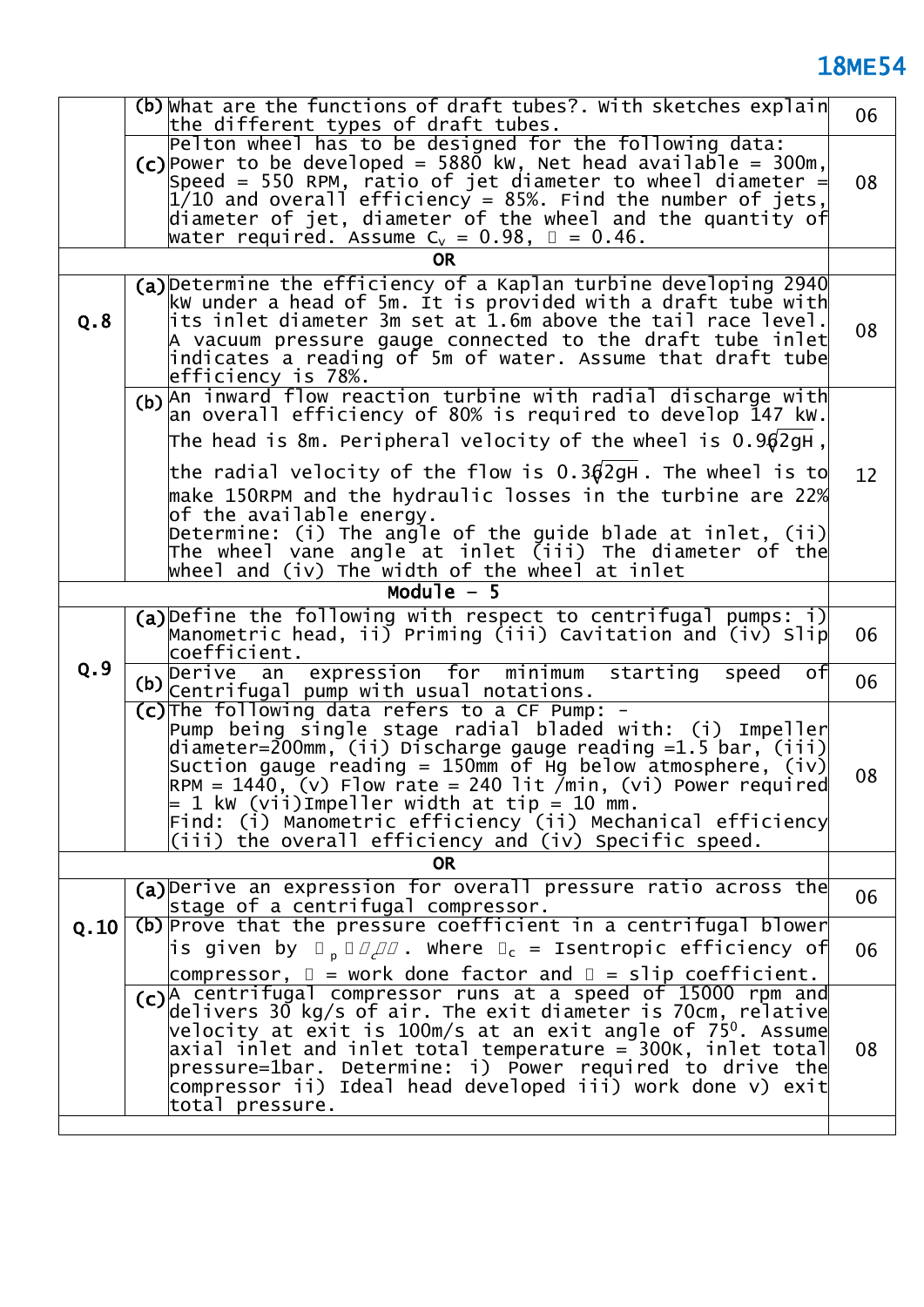|      | (b) What are the functions of draft tubes?. With sketches explain<br>the different types of draft tubes.                                                                                                                                                                                                                                                                                                                                                                                                                    | 06 |
|------|-----------------------------------------------------------------------------------------------------------------------------------------------------------------------------------------------------------------------------------------------------------------------------------------------------------------------------------------------------------------------------------------------------------------------------------------------------------------------------------------------------------------------------|----|
|      | Pelton wheel has to be designed for the following data:<br>(c) Power to be developed = 5880 kw, Net head available = 300m,<br><code>Speed</code> = 550 RPM, ratio of jet diameter to wheel diameter = $\mid$<br>$1/10$ and overall efficiency = 85%. Find the number of jets,<br>diameter of jet, diameter of the wheel and the quantity of<br>water required. Assume $C_v = 0.98$ , $\Box = 0.46$ .                                                                                                                        | 08 |
|      | <b>OR</b>                                                                                                                                                                                                                                                                                                                                                                                                                                                                                                                   |    |
| Q.8  | (a) Determine the efficiency of a Kaplan turbine developing 2940<br>$ $ kw under a head of 5m. It is provided with a draft tube with $ $<br>its inlet diameter 3m set at 1.6m above the tail race level. $\,$<br>A vacuum pressure gauge connected to the draft tube <code>inlet</code><br>indicates a reading of 5m of water. Assume that draft tube<br>efficiency is 78%.                                                                                                                                                 | 08 |
|      | (b) An inward flow reaction turbine with radial discharge with<br>an overall efficiency of 80% is required to develop 147 kw.                                                                                                                                                                                                                                                                                                                                                                                               |    |
|      | The head is 8m. Peripheral velocity of the wheel is 0.9 $\rm 62$ gH,                                                                                                                                                                                                                                                                                                                                                                                                                                                        |    |
|      | the radial velocity of the flow is 0.3 $62$ gH. The wheel is to<br><code>make 150</code> rPM and the hydraulic losses in the turbine are 22 $\%$<br>of the available energy.<br>Determine: (i) The angle of the guide blade at inlet, (ii)<br>The wheel vane angle at inlet (iii) The diameter of the<br>wheel and (iv) The width of the wheel at inlet                                                                                                                                                                     | 12 |
|      | Module $-5$                                                                                                                                                                                                                                                                                                                                                                                                                                                                                                                 |    |
|      | (a) Define the following with respect to centrifugal pumps: i)<br>Manometric head, ii) Priming (iii) Cavitation and (iv) Slip<br>coefficient.                                                                                                                                                                                                                                                                                                                                                                               | 06 |
| Q.9  | Derive an expression for minimum<br>starting speed<br>_o†l<br>(b) $\begin{bmatrix} 1 & 1 & 1 & 1 \\ 1 & 1 & 1 & 1 \\ 1 & 1 & 1 & 1 \end{bmatrix}$ (b) $\begin{bmatrix} 1 & 1 & 1 & 1 \\ 1 & 1 & 1 & 1 \\ 1 & 1 & 1 & 1 \end{bmatrix}$ (b) $\begin{bmatrix} 1 & 1 & 1 & 1 \\ 1 & 1 & 1 & 1 \\ 1 & 1 & 1 & 1 \end{bmatrix}$ (b) $\begin{bmatrix} 1 & 1 & 1 & 1 \\ 1 & 1 & 1 & 1 \\ 1 & 1 & 1 & 1 \end{bmatrix}$                                                                                                               | 06 |
|      | (c) The following data refers to a CF Pump: -<br>Pump being single stage radial bladed with: (i) <code>Impeller</code><br>$ \texttt{diameter=200mm},$ (ii) Discharge gauge reading =1.5 bar, (iii)<br>Suction gauge reading = 150mm of Hg below atmosphere, (iv)<br>$\texttt{RPM} = 1440$ , (v) Flow rate = 240 lit /min, (vi) Power required<br>$\geq 1$ kw (vii)Impeller width at tip = 10 mm.<br>Find: (i) Manometric efficiency (ii) Mechanical efficiency<br>$(iii)$ the overall efficiency and $(iv)$ Specific speed. | 08 |
|      | <b>OR</b>                                                                                                                                                                                                                                                                                                                                                                                                                                                                                                                   |    |
|      | (a) Derive an expression for overall pressure ratio across the<br>stage of a centrifugal compressor.<br>(b) Prove that the pressure coefficient in a centrifugal blower                                                                                                                                                                                                                                                                                                                                                     | 06 |
| Q.10 | is given by $\texttt{D}$ , $\texttt{D} \mathcal{L} \mathcal{D} \mathcal{L}$ . where $\texttt{D}_{\texttt{c}}$ = Isentropic efficiency of<br>compressor, $\square$ = work done factor and $\square$ = slip coefficient.                                                                                                                                                                                                                                                                                                      | 06 |
|      | (c) <sup>A</sup> centrifugal compressor runs at a speed of 15000 rpm and<br>delivers 30 kg/s of air. The exit diameter is 70cm, relative<br><code>velocity</code> at exit is 100m/s at an exit angle of 75 $^{\rm 0}$ . Assume $\,$<br>$\left  {\rm axial} \right $ inlet and inlet total temperature = 300K, inlet total $\left  \right $<br>pressure=1bar. Determine: i) Power required to drive the<br>compressor ii) Ideal head developed iii) work done v) exit<br>total pressure.                                     | 08 |
|      |                                                                                                                                                                                                                                                                                                                                                                                                                                                                                                                             |    |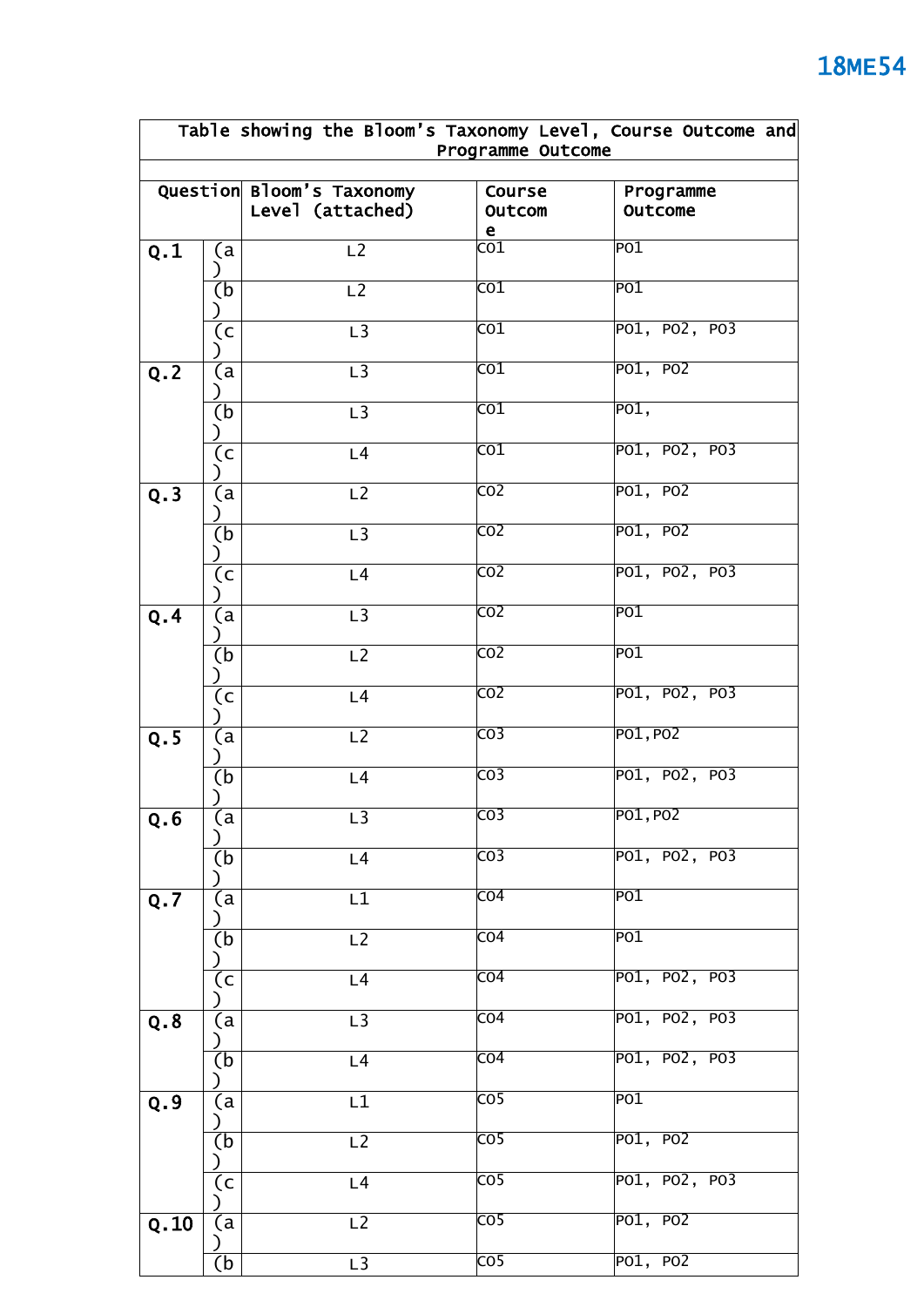|      | Table showing the Bloom's Taxonomy Level, Course Outcome and<br>Programme Outcome |                                               |                                 |                      |  |  |
|------|-----------------------------------------------------------------------------------|-----------------------------------------------|---------------------------------|----------------------|--|--|
|      |                                                                                   | Question Bloom's Taxonomy<br>Level (attached) | Course<br>Outcom<br>$\mathbf e$ | Programme<br>Outcome |  |  |
| Q.1  | (a)<br>$\lambda$                                                                  | L2                                            | $\overline{\text{co1}}$         | P <sub>01</sub>      |  |  |
|      | (b                                                                                | L <sub>2</sub>                                | $\overline{\text{co1}}$         | $P_{01}$             |  |  |
|      | (c                                                                                | L3                                            | $\overline{\text{co1}}$         | PO1, PO2, PO3        |  |  |
| Q.2  | (a                                                                                | L3                                            | $\overline{\text{co1}}$         | P01, PO2             |  |  |
|      | (b                                                                                | L3                                            | $\overline{\text{co1}}$         | $P$ <sub>7</sub>     |  |  |
|      | (c                                                                                | L4                                            | $\overline{\text{co1}}$         | PO1, PO2, PO3        |  |  |
| Q.3  | (a                                                                                | L2                                            | $\overline{CO2}$                | P01, PO2             |  |  |
|      | (b                                                                                | L <sub>3</sub>                                | $\overline{\text{co2}}$         | P01, PO2             |  |  |
|      | (c                                                                                | L4                                            | $\overline{CO2}$                | PO1, PO2, PO3        |  |  |
| Q.4  | (a                                                                                | L3                                            | CO <sub>2</sub>                 | P <sub>01</sub>      |  |  |
|      | (b                                                                                | L <sub>2</sub>                                | CO <sub>2</sub>                 | $P_{01}$             |  |  |
|      | (c<br>℩                                                                           | L4                                            | $\overline{CO2}$                | PO1, PO2, PO3        |  |  |
| Q.5  | (a                                                                                | L <sub>2</sub>                                | $\overline{CO3}$                | P01, PO2             |  |  |
|      | (b                                                                                | L4                                            | CO <sub>3</sub>                 | PO1, PO2, PO3        |  |  |
| Q.6  | (a                                                                                | L <sub>3</sub>                                | CO <sub>3</sub>                 | P01, P02             |  |  |
|      | (b                                                                                | L4                                            | $\overline{CO3}$                | PO1, PO2, PO3        |  |  |
| Q.7  | (a                                                                                | L1                                            | $\overline{CO4}$                | $P_{01}$             |  |  |
|      | (b                                                                                | L2                                            | $\overline{CO4}$                | P <sub>01</sub>      |  |  |
|      | (c                                                                                | L4                                            | $\overline{CO4}$                | PO1, PO2, PO3        |  |  |
| Q.8  | (a                                                                                | L3                                            | $\overline{CO4}$                | PO1, PO2, PO3        |  |  |
|      | (b                                                                                | L4                                            | $\overline{CO4}$                | PO1, PO2, PO3        |  |  |
| Q.9  | (a                                                                                | L1                                            | CO <sub>5</sub>                 | P <sub>01</sub>      |  |  |
|      | (b                                                                                | $\overline{L2}$                               | $\overline{\text{co5}}$         | P01, PO2             |  |  |
|      | (c                                                                                | L4                                            | $\overline{\text{co5}}$         | PO1, PO2, PO3        |  |  |
| Q.10 | (a                                                                                | L <sub>2</sub>                                | $\overline{CO5}$                | P01, PO2             |  |  |
|      | $\overline{d}$                                                                    | L3                                            | $\overline{CO5}$                | PO1, PO2             |  |  |